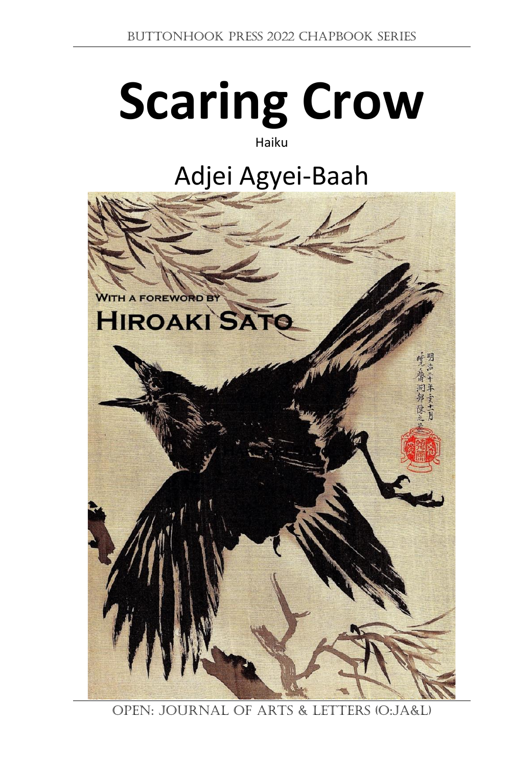# **Scaring Crow**

## Haiku

## Adjei Agyei-Baah



OPEN: Journal of Arts & Letters (O:JA&L)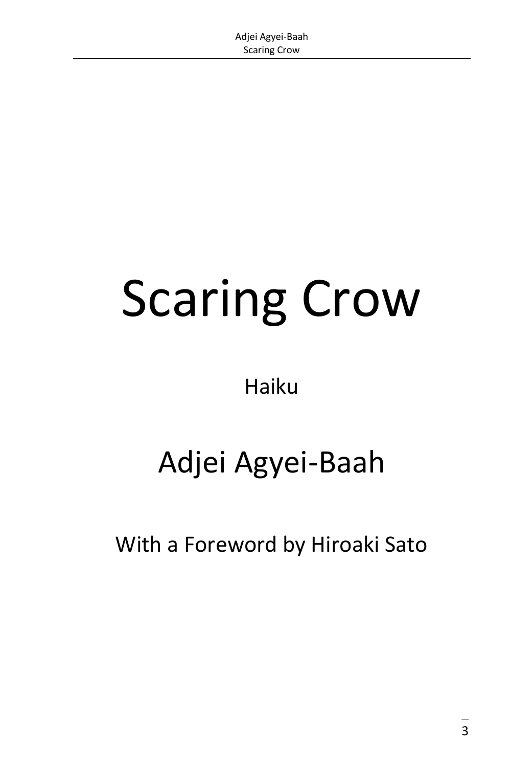## Scaring Crow

## Haiku

## Adjei Agyei-Baah

With a Foreword by Hiroaki Sato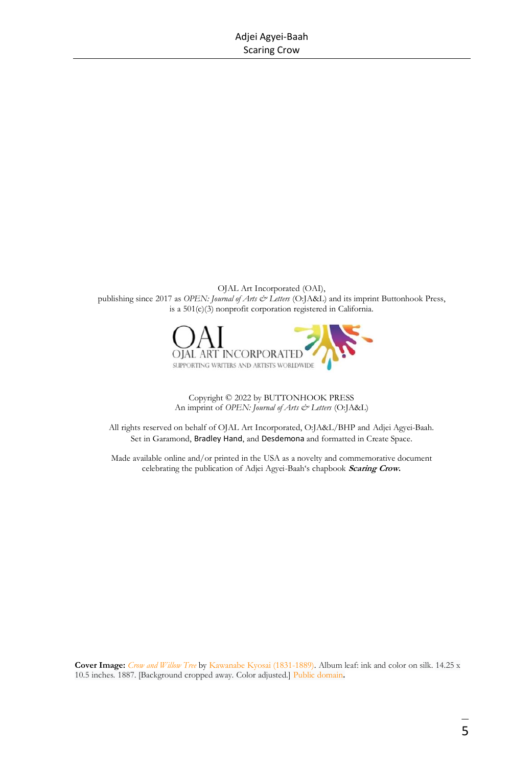OJAL Art Incorporated (OAI), publishing since 2017 as *OPEN: Journal of Arts & Letters* (O:JA&L) and its imprint Buttonhook Press, is a 501(c)(3) nonprofit corporation registered in California.



Copyright © 2022 by BUTTONHOOK PRESS An imprint of *OPEN: Journal of Arts & Letters* (O:JA&L)

All rights reserved on behalf of OJAL Art Incorporated, O:JA&L/BHP and Adjei Agyei-Baah. Set in Garamond, Bradley Hand, and Desdemona and formatted in Create Space.

Made available online and/or printed in the USA as a novelty and commemorative document celebrating the publication of Adjei Agyei-Baah's chapbook **Scaring Crow.**

**Cover Image:** *[Crow and Willow Tree](https://upload.wikimedia.org/wikipedia/commons/6/68/%E6%9F%B3%E3%81%AB%E9%B4%89%E5%9B%B3-Crow_and_Willow_Tree_MET_DP211824.jpg)* b[y Kawanabe Kyosai \(1831-1889\).](https://en.wikipedia.org/wiki/Kawanabe_Ky%C5%8Dsai) Album leaf: ink and color on silk. 14.25 x 10.5 inches. 1887. [Background cropped away. Color adjusted.[\] Public domain](https://commons.wikimedia.org/wiki/File:%E6%9F%B3%E3%81%AB%E9%B4%89%E5%9B%B3-Crow_and_Willow_Tree_MET_DP211824.jpg)**.**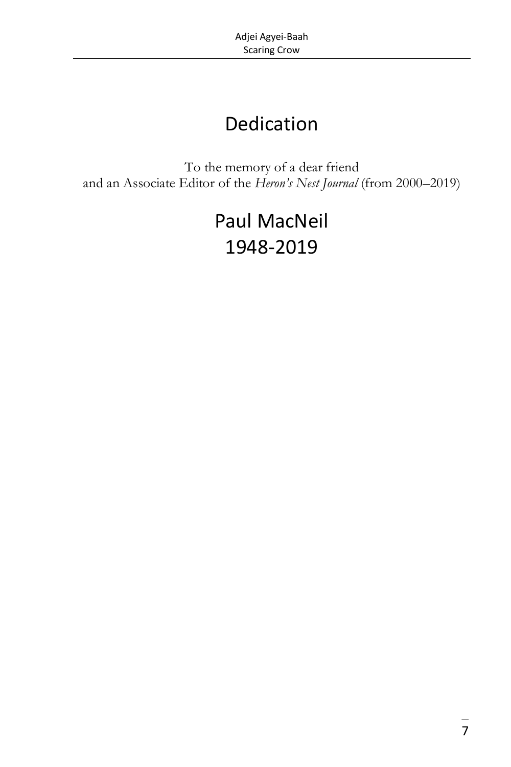## Dedication

To the memory of a dear friend and an Associate Editor of the *Heron's Nest Journal* (from 2000–2019)

## Paul MacNeil 1948-2019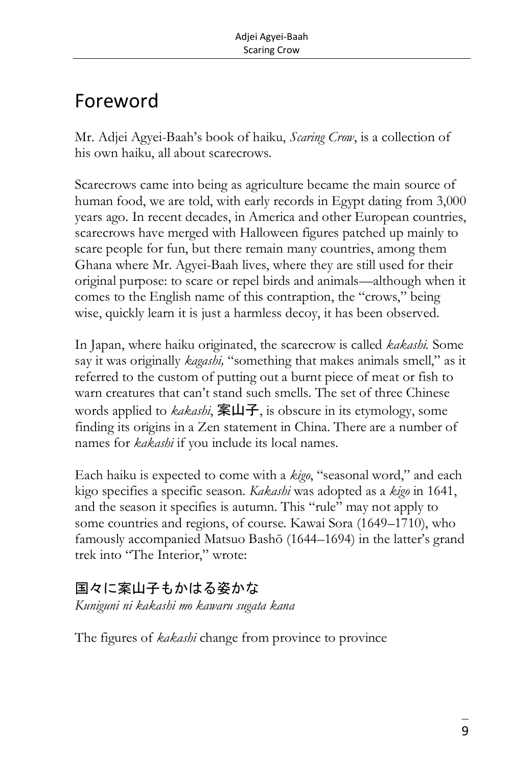## Foreword

Mr. Adjei Agyei-Baah's book of haiku, *Scaring Crow*, is a collection of his own haiku, all about scarecrows.

Scarecrows came into being as agriculture became the main source of human food, we are told, with early records in Egypt dating from 3,000 years ago. In recent decades, in America and other European countries, scarecrows have merged with Halloween figures patched up mainly to scare people for fun, but there remain many countries, among them Ghana where Mr. Agyei-Baah lives, where they are still used for their original purpose: to scare or repel birds and animals—although when it comes to the English name of this contraption, the "crows," being wise, quickly learn it is just a harmless decoy, it has been observed.

In Japan, where haiku originated, the scarecrow is called *kakashi.* Some say it was originally *kagashi,* "something that makes animals smell," as it referred to the custom of putting out a burnt piece of meat or fish to warn creatures that can't stand such smells. The set of three Chinese words applied to *kakashi*, 案山子, is obscure in its etymology, some finding its origins in a Zen statement in China. There are a number of names for *kakashi* if you include its local names.

Each haiku is expected to come with a *kigo*, "seasonal word," and each kigo specifies a specific season. *Kakashi* was adopted as a *kigo* in 1641, and the season it specifies is autumn. This "rule" may not apply to some countries and regions, of course. Kawai Sora (1649–1710), who famously accompanied Matsuo Bashō (1644–1694) in the latter's grand trek into "The Interior," wrote:

### 国々に案山子もかはる姿かな

*Kuniguni ni kakashi mo kawaru sugata kana*

The figures of *kakashi* change from province to province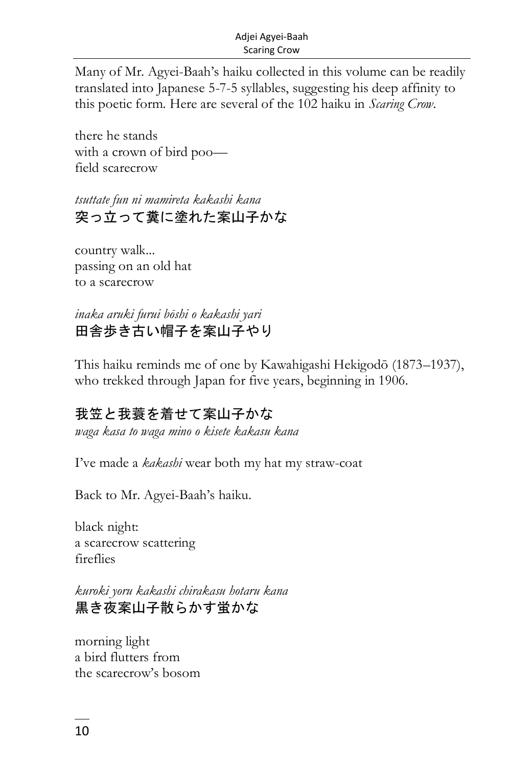Many of Mr. Agyei-Baah's haiku collected in this volume can be readily translated into Japanese 5-7-5 syllables, suggesting his deep affinity to this poetic form. Here are several of the 102 haiku in *Scaring Crow*.

there he stands with a crown of bird poo field scarecrow

*tsuttate fun ni mamireta kakashi kana* 突っ立って糞に塗れた案山子かな

country walk... passing on an old hat to a scarecrow

*inaka aruki furui bōshi o kakashi yari* 田舎歩き古い帽子を案山子やり

This haiku reminds me of one by Kawahigashi Hekigodō (1873–1937), who trekked through Japan for five years, beginning in 1906.

#### 我笠と我蓑を着せて案山子かな

*waga kasa to waga mino o kisete kakasu kana*

I've made a *kakashi* wear both my hat my straw-coat

Back to Mr. Agyei-Baah's haiku.

black night: a scarecrow scattering fireflies

*kuroki yoru kakashi chirakasu hotaru kana* 黒き夜案山子散らかす蛍かな

morning light a bird flutters from the scarecrow's bosom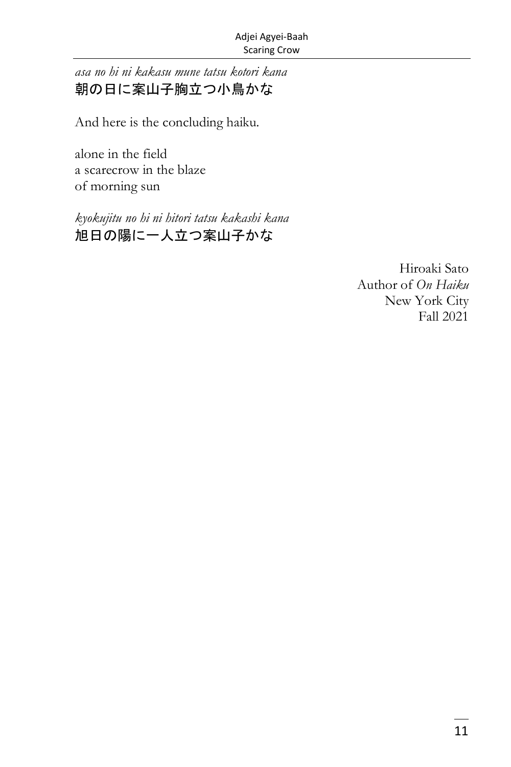*asa no hi ni kakasu mune tatsu kotori kana* 朝の日に案山子胸立つ小鳥かな

And here is the concluding haiku.

alone in the field a scarecrow in the blaze of morning sun

*kyokujitu no hi ni hitori tatsu kakashi kana* 旭日の陽に一人立つ案山子かな

> Hiroaki Sato Author of *On Haiku* New York City Fall 2021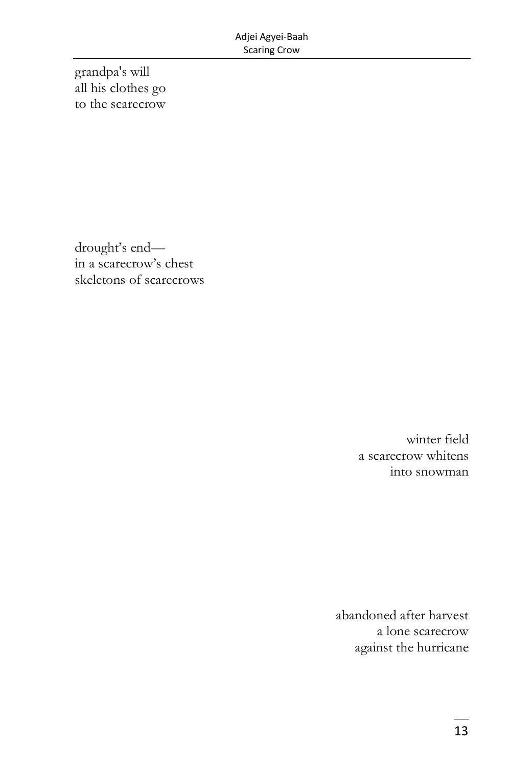grandpa's will all his clothes go to the scarecrow

drought's end in a scarecrow's chest skeletons of scarecrows

> winter field a scarecrow whitens into snowman

abandoned after harvest a lone scarecrow against the hurricane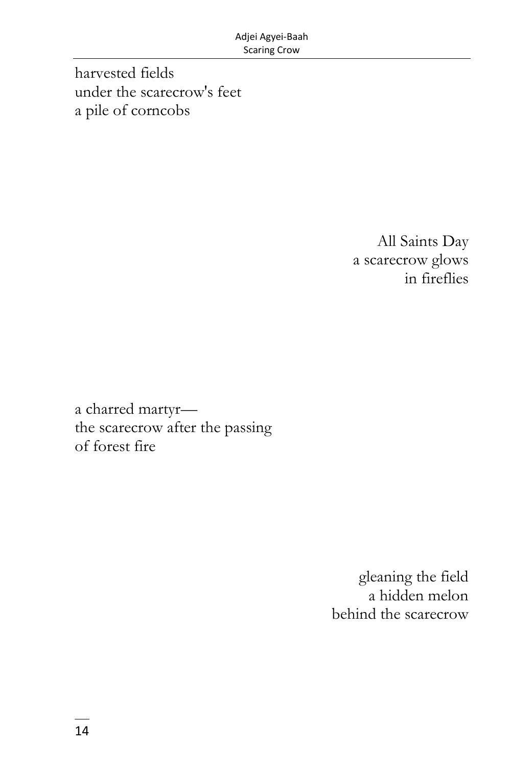harvested fields under the scarecrow's feet a pile of corncobs

> All Saints Day a scarecrow glows in fireflies

a charred martyr the scarecrow after the passing of forest fire

> gleaning the field a hidden melon behind the scarecrow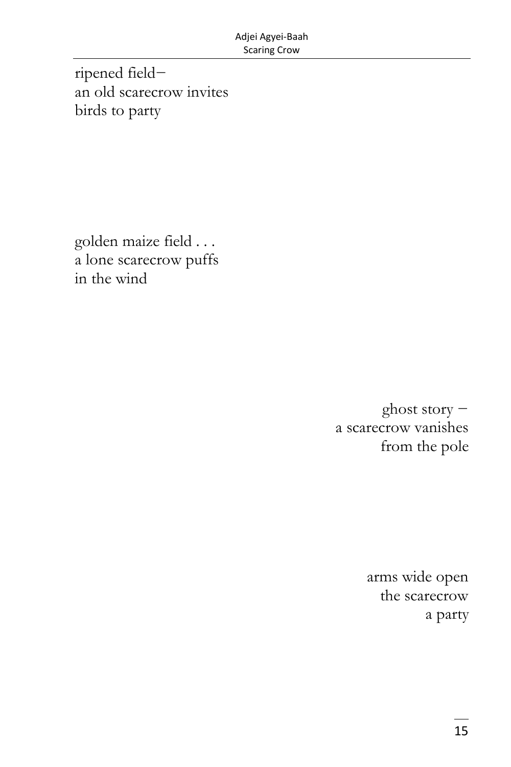ripened field− an old scarecrow invites birds to party

golden maize field . . . a lone scarecrow puffs in the wind

> ghost story − a scarecrow vanishes from the pole

> > arms wide open the scarecrow a party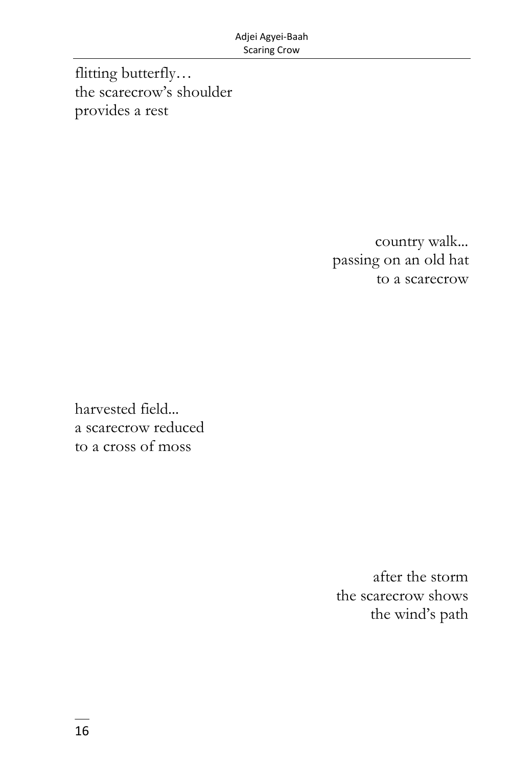flitting butterfly… the scarecrow's shoulder provides a rest

> country walk... passing on an old hat to a scarecrow

harvested field... a scarecrow reduced to a cross of moss

> after the storm the scarecrow shows the wind's path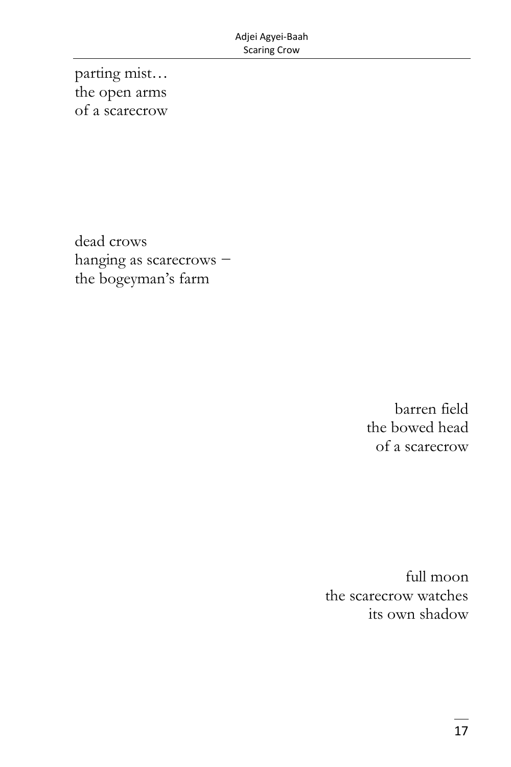parting mist... the open arms of a scarecrow

dead crows hanging as scarecrows the bogeyman's farm

> barren field the bowed head of a scarecrow

full moon the scarecrow watches its own shadow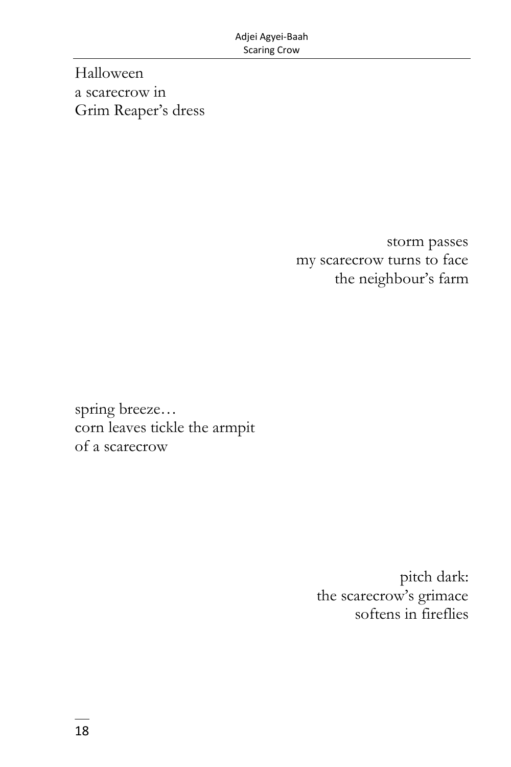Halloween a scarecrow in Grim Reaper's dress

> storm passes my scarecrow turns to face the neighbour's farm

spring breeze… corn leaves tickle the armpit of a scarecrow

> pitch dark: the scarecrow's grimace softens in fireflies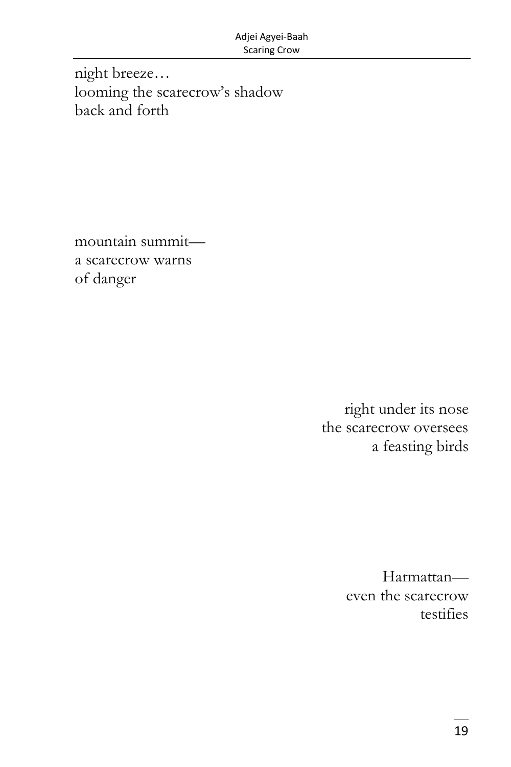night breeze... looming the scarecrow's shadow back and forth

mountain summita scarecrow warns of danger

> right under its nose the scarecrow oversees a feasting birds

> > Harmattaneven the scarecrow testifies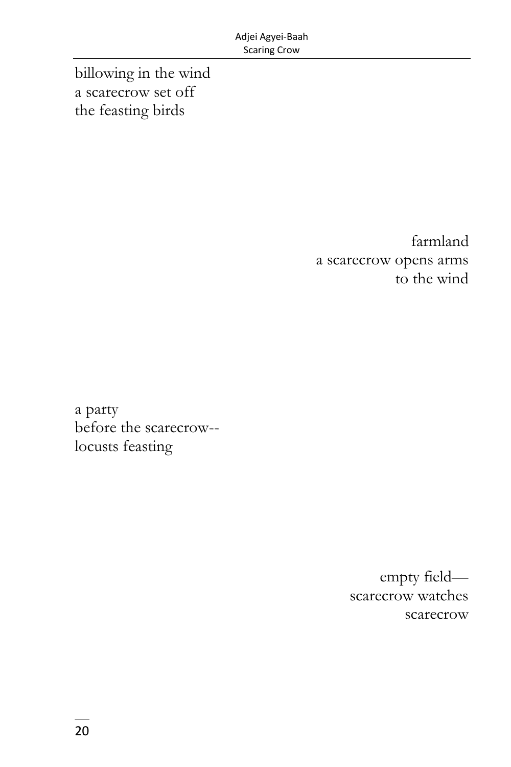billowing in the wind a scarecrow set off the feasting birds

> farmland a scarecrow opens arms to the wind

a party before the scarecrow- locusts feasting

> empty field scarecrow watches scarecrow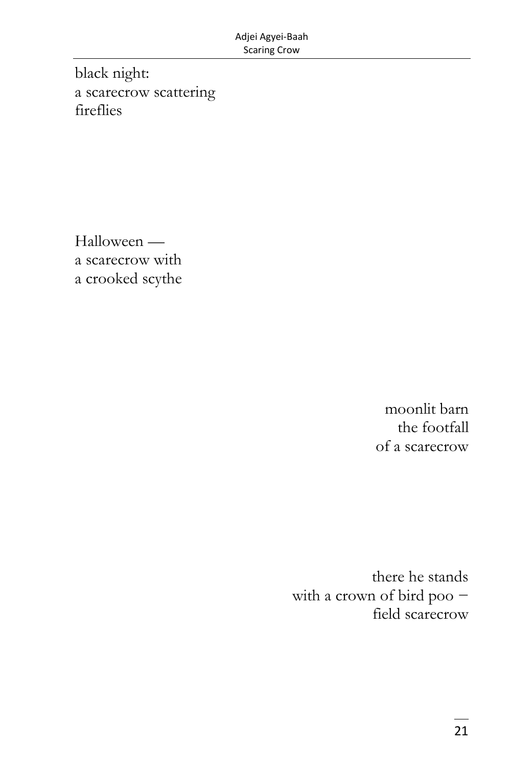black night: a scarecrow scattering fireflies

Halloween a scarecrow with a crooked scythe

> moonlit barn the footfall of a scarecrow

there he stands with a crown of bird poo − field scarecrow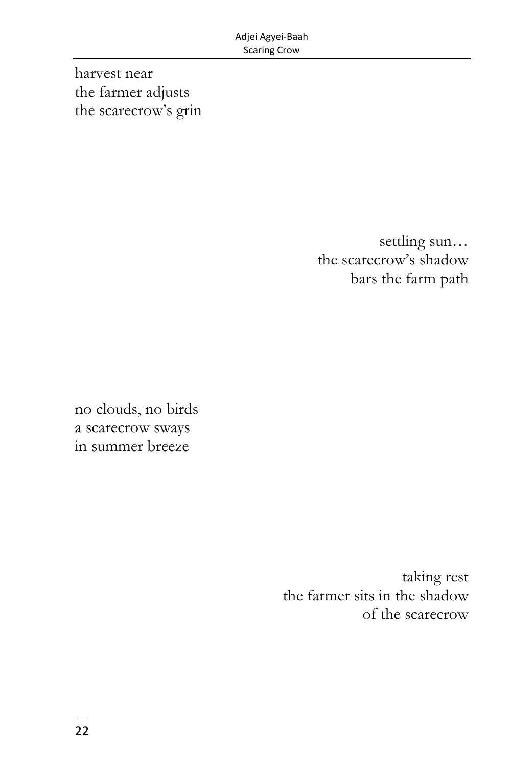harvest near the farmer adjusts the scarecrow's grin

> settling sun… the scarecrow's shadow bars the farm path

no clouds, no birds a scarecrow sways in summer breeze

> taking rest the farmer sits in the shadow of the scarecrow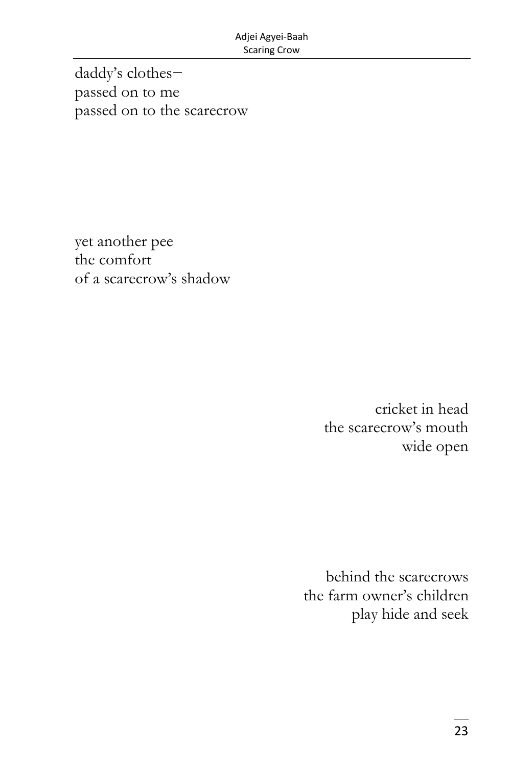daddy's clothes− passed on to me passed on to the scarecrow

yet another pee the comfort of a scarecrow's shadow

> cricket in head the scarecrow's mouth wide open

behind the scarecrows the farm owner's children play hide and seek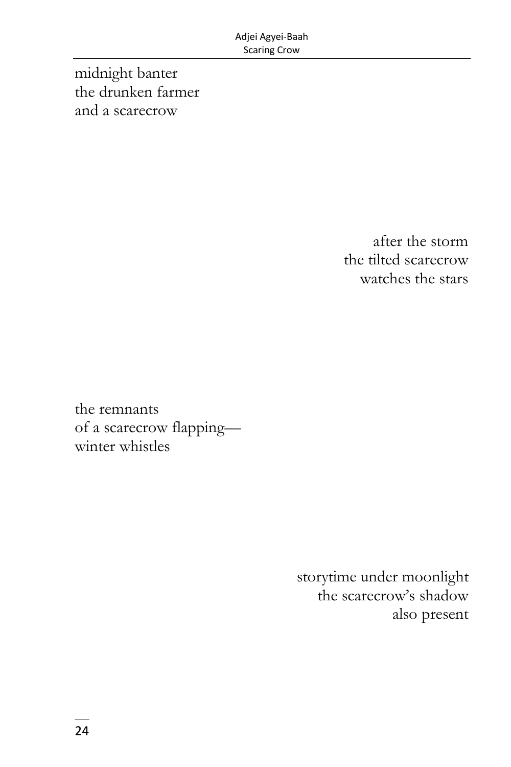midnight banter the drunken farmer and a scarecrow

> after the storm the tilted scarecrow watches the stars

the remnants of a scarecrow flapping winter whistles

> storytime under moonlight the scarecrow's shadow also present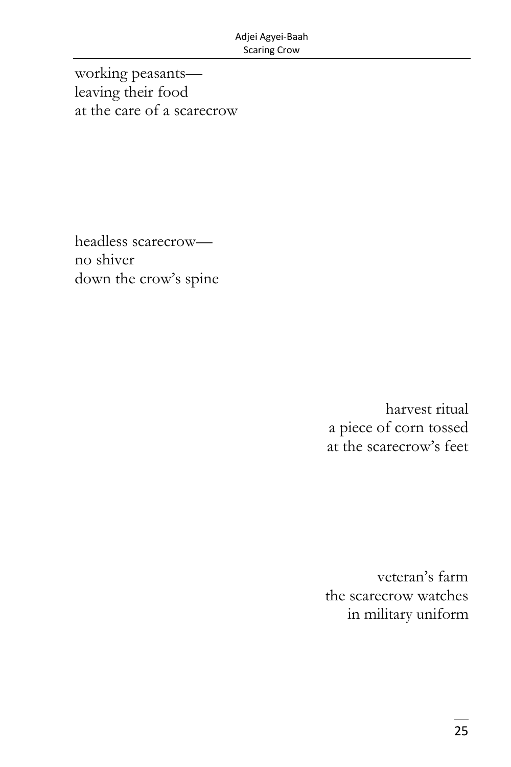working peasants leaving their food at the care of a scarecrow

headless scarecrow no shiver down the crow's spine

> harvest ritual a piece of corn tossed at the scarecrow's feet

veteran's farm the scarecrow watches in military uniform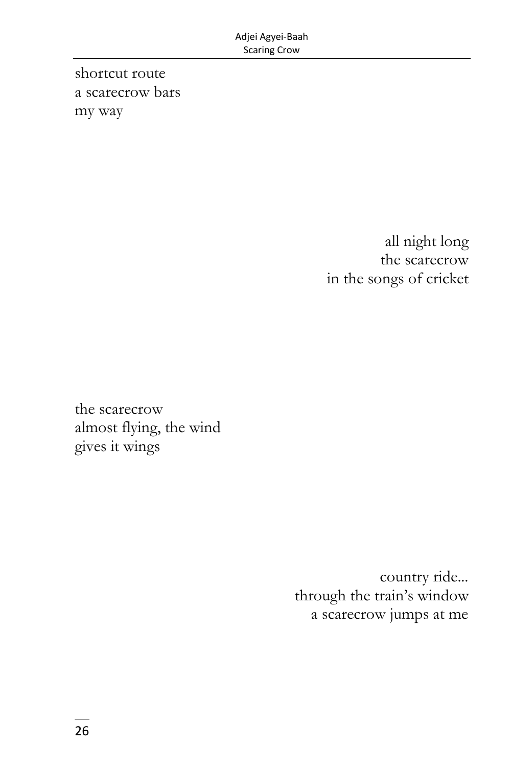shortcut route a scarecrow bars my way

> all night long the scarecrow in the songs of cricket

the scarecrow almost flying, the wind gives it wings

> country ride... through the train's window a scarecrow jumps at me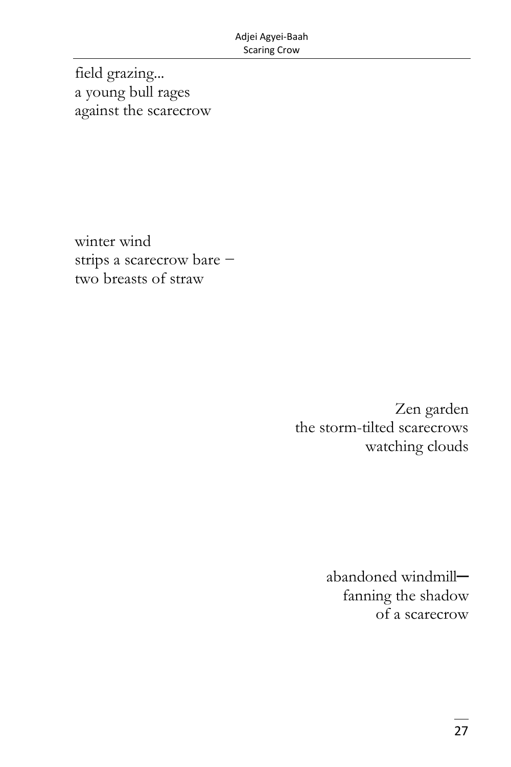field grazing... a young bull rages against the scarecrow

winter wind strips a scarecrow bare − two breasts of straw

> Zen garden the storm-tilted scarecrows watching clouds

> > abandoned windmill─ fanning the shadow of a scarecrow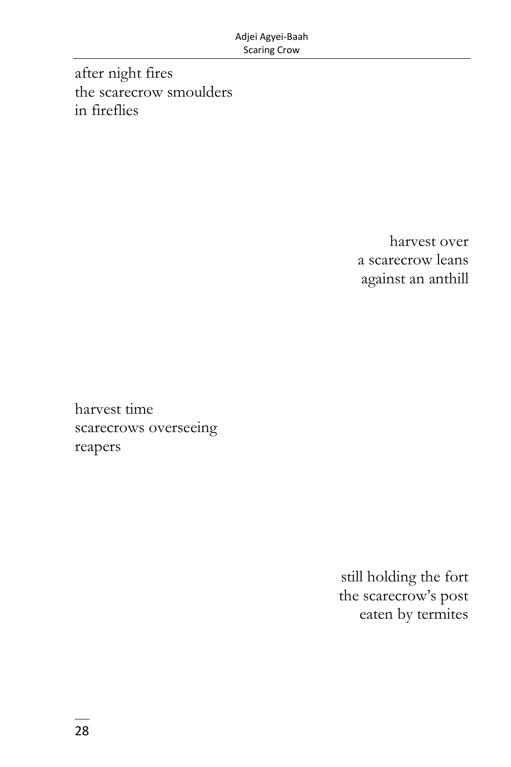after night fires the scarecrow smoulders in fireflies

> harvest over a scarecrow leans against an anthill

harvest time scarecrows overseeing reapers

> still holding the fort the scarecrow's post eaten by termites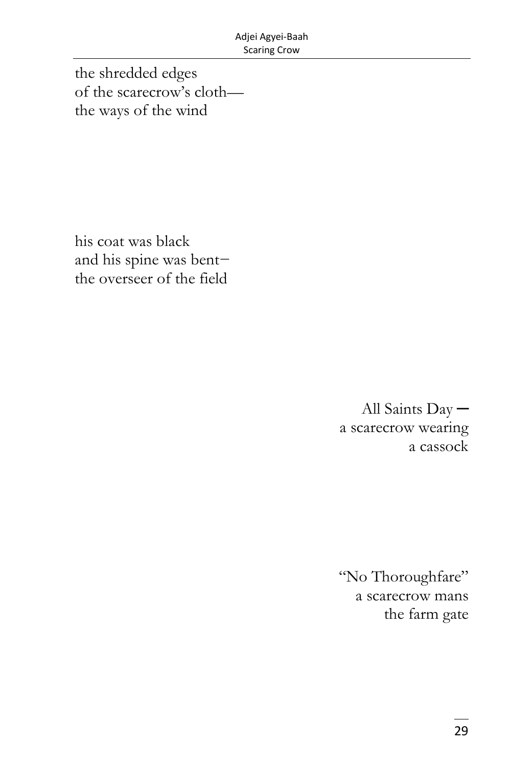the shredded edges of the scarecrow's cloththe ways of the wind

his coat was black and his spine was bentthe overseer of the field

> All Saints Daya scarecrow wearing a cassock

> "No Thoroughfare" a scarecrow mans the farm gate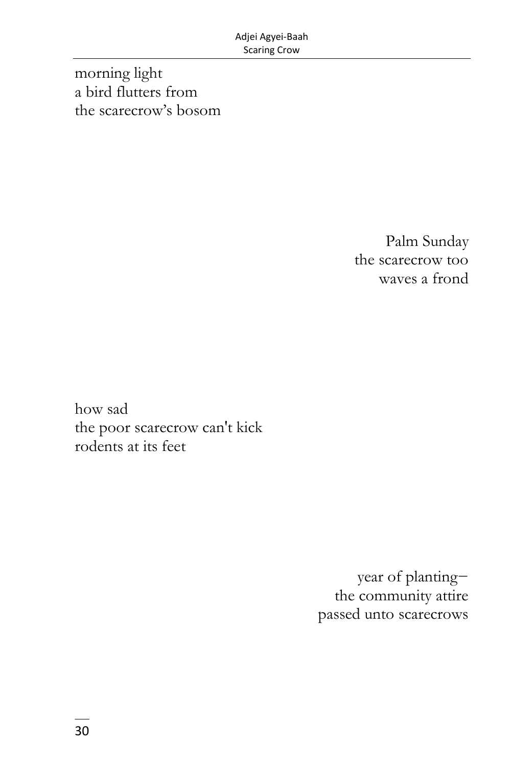morning light a bird flutters from the scarecrow's bosom

> Palm Sunday the scarecrow too waves a frond

how sad the poor scarecrow can't kick rodents at its feet

> year of planting− the community attire passed unto scarecrows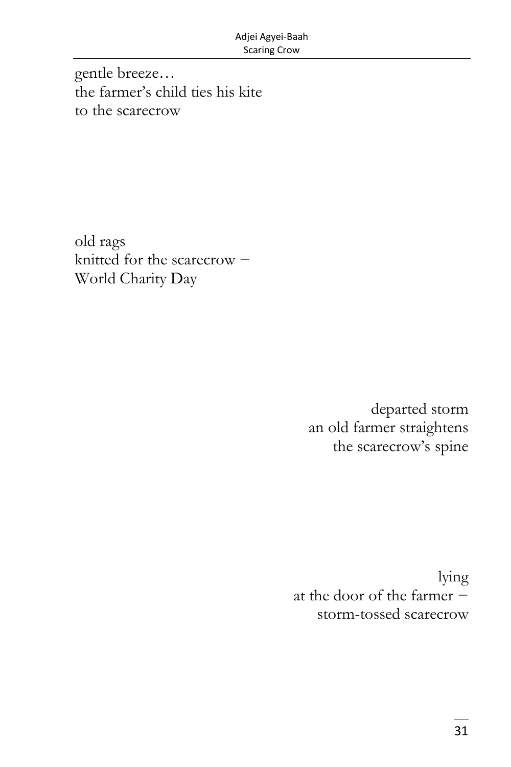gentle breeze… the farmer's child ties his kite to the scarecrow

old rags knitted for the scarecrow − World Charity Day

> departed storm an old farmer straightens the scarecrow's spine

lying at the door of the farmer − storm-tossed scarecrow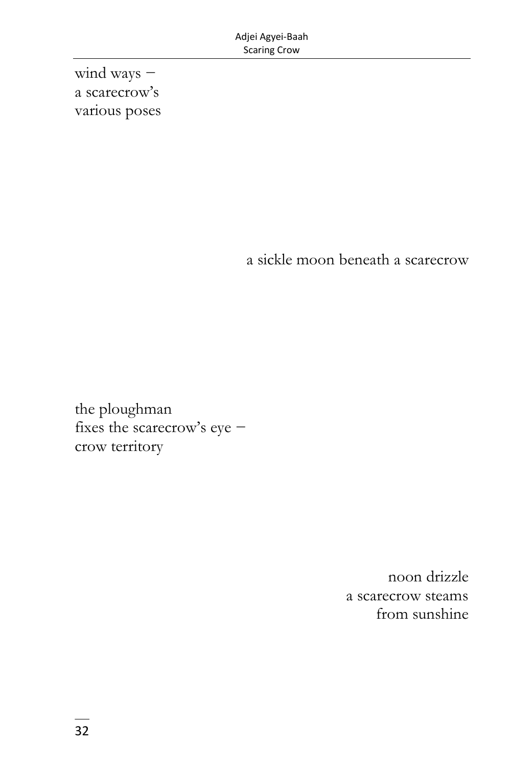wind ways – a scarecrow's various poses

a sickle moon beneath a scarecrow

the ploughman fixes the scarecrow's eye − crow territory

> noon drizzle a scarecrow steams from sunshine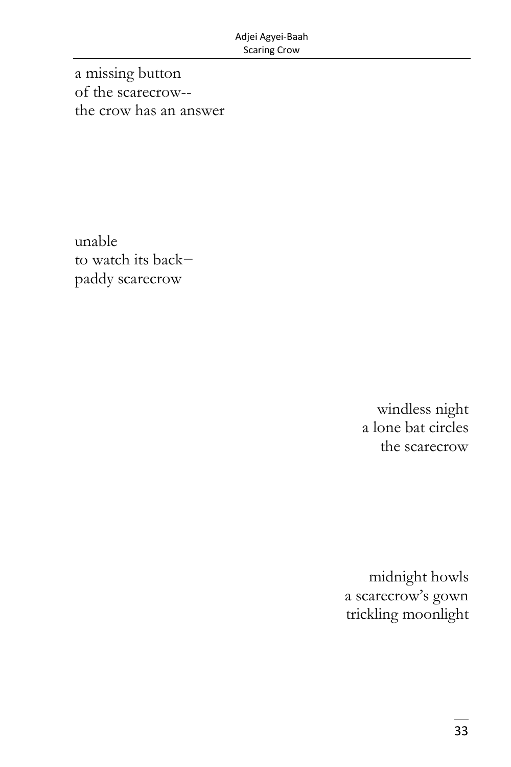a missing button of the scarecrow- the crow has an answer

unable to watch its back− paddy scarecrow

> windless night a lone bat circles the scarecrow

midnight howls a scarecrow's gown trickling moonlight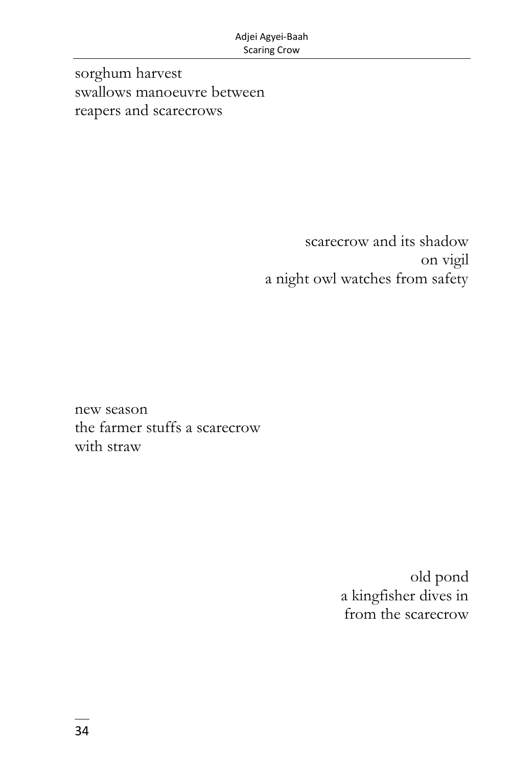sorghum harvest swallows manoeuvre between reapers and scarecrows

> scarecrow and its shadow on vigil a night owl watches from safety

new season the farmer stuffs a scarecrow with straw

> old pond a kingfisher dives in from the scarecrow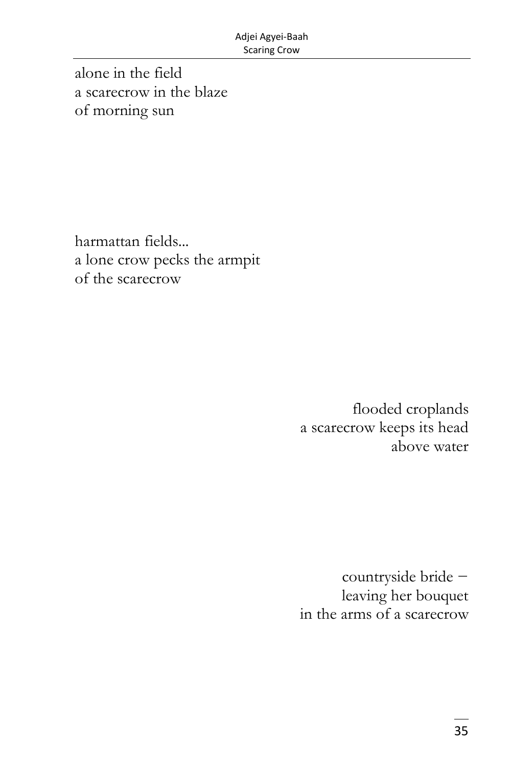alone in the field a scarecrow in the blaze of morning sun

harmattan fields... a lone crow pecks the armpit of the scarecrow

> flooded croplands a scarecrow keeps its head above water

countryside bride − leaving her bouquet in the arms of a scarecrow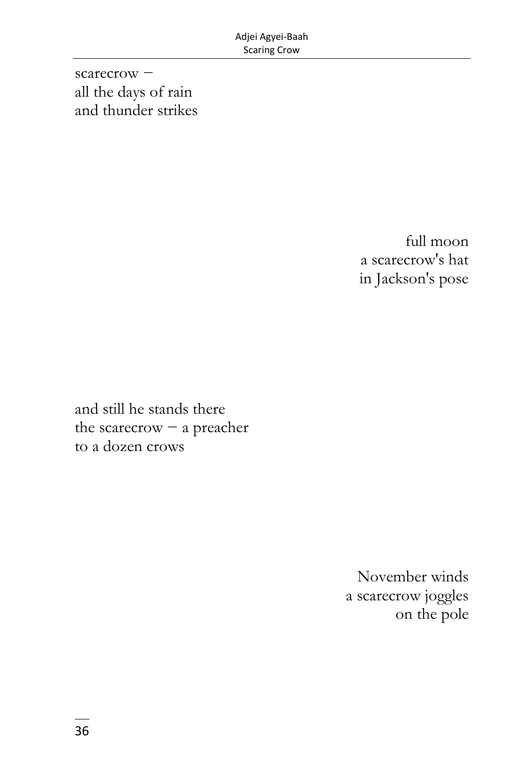scarecrow – all the days of rain and thunder strikes

> full moon a scarecrow's hat in Jackson's pose

and still he stands there the scarecrow − a preacher to a dozen crows

> November winds a scarecrow joggles on the pole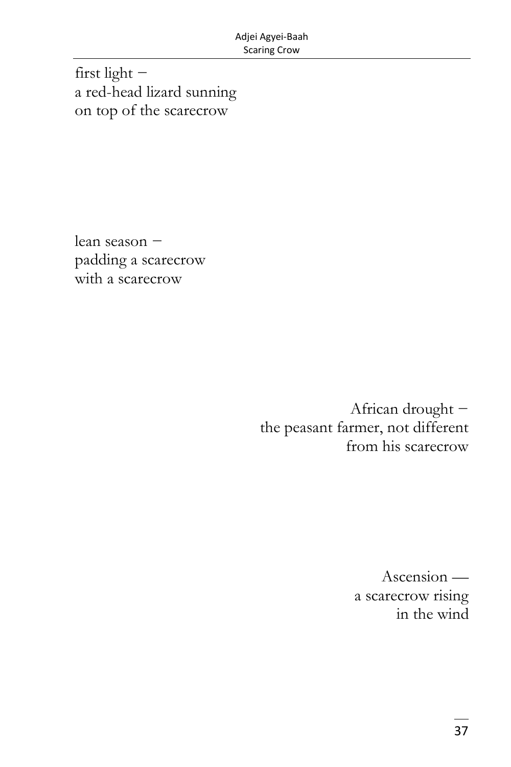first light − a red-head lizard sunning on top of the scarecrow

lean season − padding a scarecrow with a scarecrow

> African drought − the peasant farmer, not different from his scarecrow

> > Ascension a scarecrow rising in the wind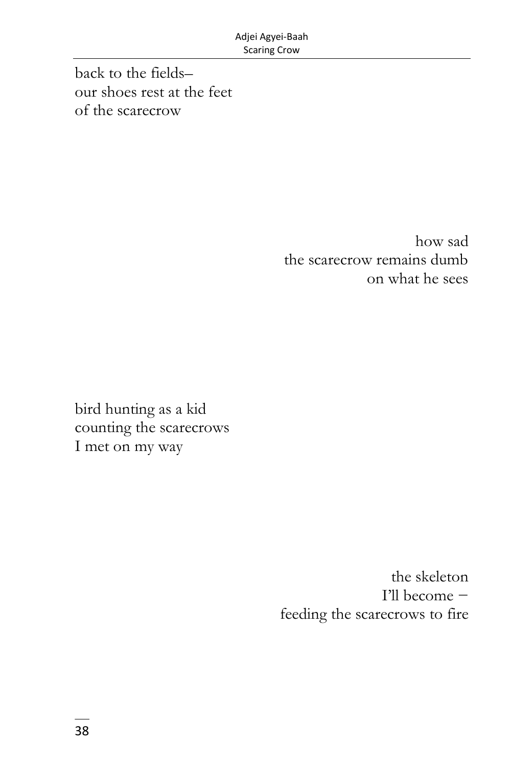back to the fields– our shoes rest at the feet of the scarecrow

> how sad the scarecrow remains dumb on what he sees

bird hunting as a kid counting the scarecrows I met on my way

> the skeleton I'll become − feeding the scarecrows to fire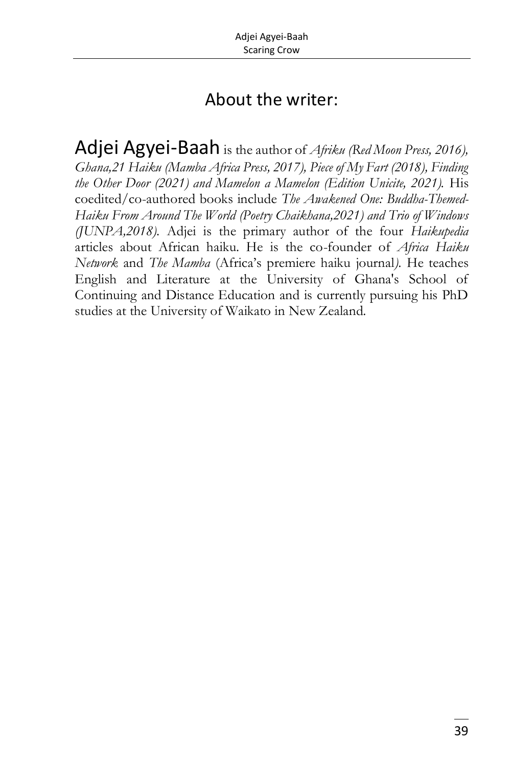## About the writer:

Adjei Agyei-Baah is the author of *Afriku (Red Moon Press, 2016), Ghana,21 Haiku (Mamba Africa Press, 2017), Piece of My Fart (2018), Finding the Other Door (2021) and Mamelon a Mamelon (Edition Unicite, 2021).* His coedited/co-authored books include *The Awakened One: Buddha-Themed-Haiku From Around The World (Poetry Chaikhana,2021) and Trio of Windows (JUNPA,2018).* Adjei is the primary author of the four *Haikupedia* articles about African haiku. He is the co-founder of *Africa Haiku Network* and *The Mamba* (Africa's premiere haiku journal*).* He teaches English and Literature at the University of Ghana's School of Continuing and Distance Education and is currently pursuing his PhD studies at the University of Waikato in New Zealand.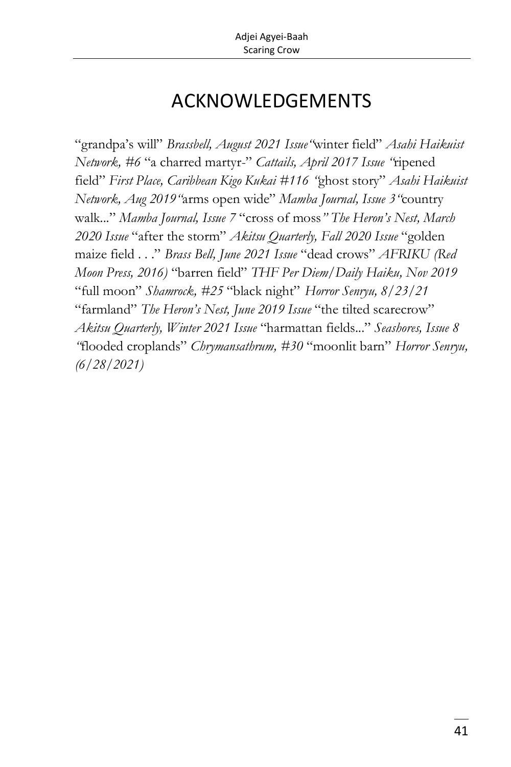## ACKNOWLEDGEMENTS

"grandpa's will" *Brassbell, August 2021 Issue"*winter field" *Asahi Haikuist Network, #6* "a charred martyr-" *Cattails, April 2017 Issue "*ripened field" *First Place, Caribbean Kigo Kukai #116 "*ghost story" *Asahi Haikuist Network, Aug 2019"*arms open wide" *Mamba Journal, Issue 3"*country walk..." *Mamba Journal, Issue 7* "cross of moss*" The Heron's Nest, March 2020 Issue* "after the storm" *Akitsu Quarterly, Fall 2020 Issue* "golden maize field . . ." *Brass Bell, June 2021 Issue* "dead crows" *AFRIKU (Red Moon Press, 2016)* "barren field" *THF Per Diem/Daily Haiku, Nov 2019*  "full moon" *Shamrock, #25* "black night" *Horror Senryu, 8/23/21* "farmland" *The Heron's Nest, June 2019 Issue* "the tilted scarecrow" *Akitsu Quarterly, Winter 2021 Issue* "harmattan fields..." *Seashores, Issue 8 "*flooded croplands" *Chrymansathrum, #30* "moonlit barn" *Horror Senryu, (6/28/2021)*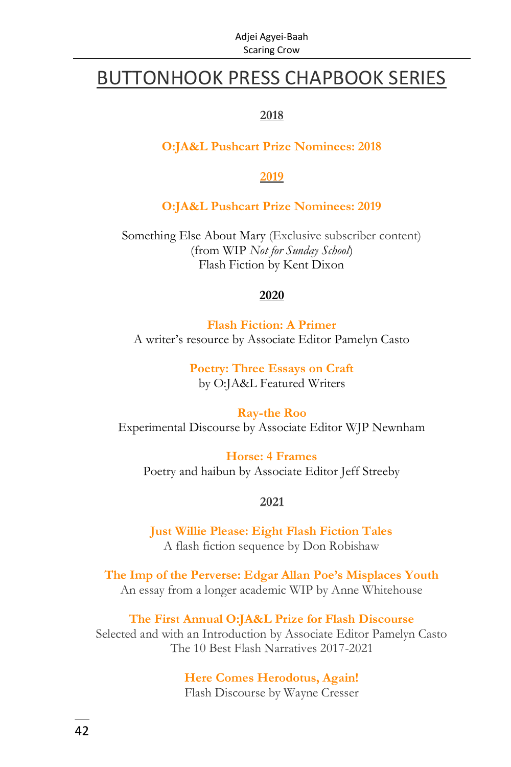## BUTTONHOOK PRESS CHAPBOOK SERIES

#### **2018**

#### **O:JA&L Pushcart Prize [Nominees:](https://ojalart.com/wp-content/uploads/2018.Pushcart-chapbook.final_.pdf) 2018**

#### **2019**

#### **[O:JA&L Pushcart Prize Nominees: 2019](https://ojalart.com/wp-content/uploads/2019.pushcart.chapbook.6-x-9.pdf)**

Something Else About Mary (Exclusive subscriber content) (from WIP *Not for Sunday School*) Flash Fiction by Kent Dixon

#### **2020**

**Flash [Fiction:](https://ojalart.com/wp-content/uploads/Casto-essays.6-x-9.B.pdf) A Primer** A writer's resource by Associate Editor Pamelyn Casto

> **[Poetry:](https://ojalart.com/wp-content/uploads/buttonhook2.three-poets-on-craft.CreateSpace-Word-Templates.pdf) Three Essays on Craft** by O:JA&L Featured Writers

**[Ray-the](https://ojalart.com/wp-content/uploads/buttonhook.Newnham.2.CreateSpace-Word-Templates-002.pdf) Roo** Experimental Discourse by Associate Editor WJP Newnham

**Horse: 4 [Frames](https://ojalart.com/wp-content/uploads/Horse.4-frames.2020.chapbook.-6-x-9.pdf)** Poetry and haibun by Associate Editor Jeff Streeby

#### **2021**

**[Just Willie Please: Eight Flash Fiction Tales](https://ojalart.com/wp-content/uploads/Robishaw.6-x-9-inch-15.24-x-22.86-cm.pdf)** A flash fiction sequence by Don Robishaw

**[The Imp of the Perverse: Edgar Allan Poe's Misplaces Youth](https://ojalart.com/buttonhook-press2020-chapbook-seriesissues-of-aesthetic-meaninganne-whitehousethe-imp-of-the-perverseedgar-allan-poes-misplaced-youth/)** An essay from a longer academic WIP by Anne Whitehouse

**[The First Annual O:JA&L Prize for Flash Discourse](https://ojalart.com/buttonhook-press2021-chapbook-seriesthe-first-annual-ojal-prize-for-flash-discourseselected-and-with-an-introduction-byassociate-editor-pamelyn-casto/)** Selected and with an Introduction by Associate Editor Pamelyn Casto The 10 Best Flash Narratives 2017-2021

#### **[Here Comes Herodotus, Again!](https://ojalart.com/buttonhook-press2021-chapbook-seriesflash-discourse-fictionwayne-cresserhere-comes-herodotus-again/)** Flash Discourse by Wayne Cresser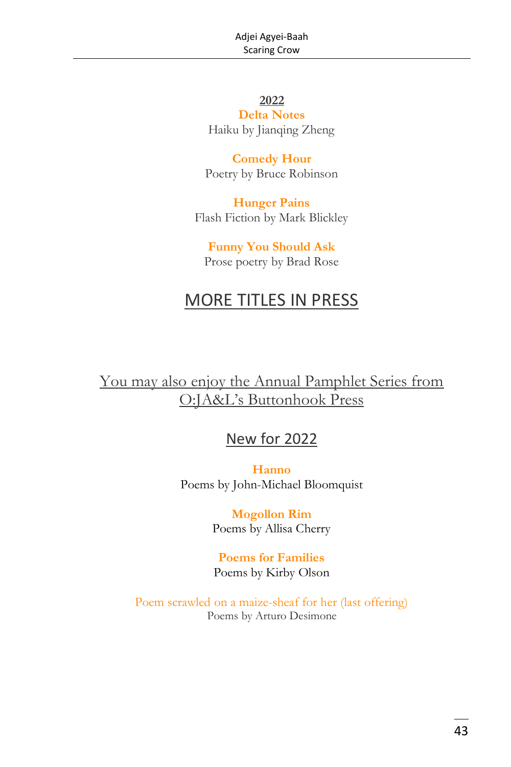#### **2022 [Delta Notes](https://ojalart.com/buttonhook-press2022-chapbook-seriespoetry-all-forms-styleshaikujianqing-zhengdelta-notes/)**

Haiku by Jianqing Zheng

**[Comedy Hour](https://ojalart.com/buttonhook-press2022-chapbook-seriespoetry-all-forms-stylesbruce-robinsoncomedy-hour/)** Poetry by Bruce Robinson

**[Hunger Pains](https://ojalart.com/buttonhook-press2022-chapbook-seriesflash-discourse-fictionmark-blickleyhunger-pains/)** Flash Fiction by Mark Blickley

**[Funny You Should Ask](https://ojalart.com/buttonhook-press2022-chapbook-seriespoetry-all-forms-stylesprose-poetrybrad-rosefunny-you-should-ask/)** Prose poetry by Brad Rose

## MORE TITLES IN PRESS

You may also enjoy the Annual Pamphlet Series from O:JA&L's Buttonhook Press

#### New for 2022

**[Hanno](https://ojalart.com/buttonhook-press2022-pamphlet-series-writers-portfoliopoetry-all-forms-stylesjohn-michael-bloomquisthanno/)** Poems by John-Michael Bloomquist

> **[Mogollon Rim](https://ojalart.com/buttonhook-press2021-pamphlet-series-writers-portfoliopoetry-all-forms-stylesallisa-cherrymogollon-rim/)** Poems by Allisa Cherry

> **[Poems for Families](https://ojalart.com/buttonhook-press2022-pamphlet-series-writers-portfoliopoetry-all-forms-styleskirby-olsonpoems-for-families/)** Poems by Kirby Olson

Poem scrawled on a [maize-sheaf](https://ojalart.com/buttonhook-press-2021-pamphlet-serieswriters-portfoliopoetry-all-forms-stylesarturo-desimonepoem-scrawled-on-a-maize-sheaf-for-her-last-offering/) for her (last offering) Poems by Arturo Desimone